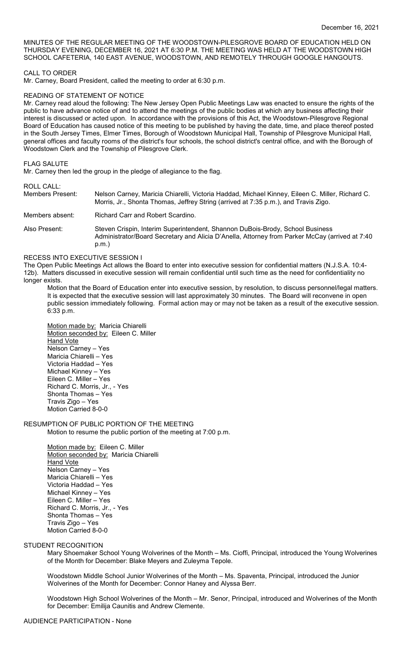MINUTES OF THE REGULAR MEETING OF THE WOODSTOWN-PILESGROVE BOARD OF EDUCATION HELD ON THURSDAY EVENING, DECEMBER 16, 2021 AT 6:30 P.M. THE MEETING WAS HELD AT THE WOODSTOWN HIGH SCHOOL CAFETERIA, 140 EAST AVENUE, WOODSTOWN, AND REMOTELY THROUGH GOOGLE HANGOUTS.

#### CALL TO ORDER

Mr. Carney, Board President, called the meeting to order at 6:30 p.m.

#### READING OF STATEMENT OF NOTICE

Mr. Carney read aloud the following: The New Jersey Open Public Meetings Law was enacted to ensure the rights of the public to have advance notice of and to attend the meetings of the public bodies at which any business affecting their interest is discussed or acted upon. In accordance with the provisions of this Act, the Woodstown-Pilesgrove Regional Board of Education has caused notice of this meeting to be published by having the date, time, and place thereof posted in the South Jersey Times, Elmer Times, Borough of Woodstown Municipal Hall, Township of Pilesgrove Municipal Hall, general offices and faculty rooms of the district's four schools, the school district's central office, and with the Borough of Woodstown Clerk and the Township of Pilesgrove Clerk.

#### FLAG SALUTE

Mr. Carney then led the group in the pledge of allegiance to the flag.

# ROLL CALL:

| Members Present: | Nelson Carney, Maricia Chiarelli, Victoria Haddad, Michael Kinney, Eileen C. Miller, Richard C.<br>Morris, Jr., Shonta Thomas, Jeffrey String (arrived at 7:35 p.m.), and Travis Zigo.   |  |  |  |  |
|------------------|------------------------------------------------------------------------------------------------------------------------------------------------------------------------------------------|--|--|--|--|
| Members absent:  | Richard Carr and Robert Scardino.                                                                                                                                                        |  |  |  |  |
| Also Present:    | Steven Crispin, Interim Superintendent, Shannon DuBois-Brody, School Business<br>Administrator/Board Secretary and Alicia D'Anella, Attorney from Parker McCay (arrived at 7:40<br>p.m.) |  |  |  |  |

## RECESS INTO EXECUTIVE SESSION I

The Open Public Meetings Act allows the Board to enter into executive session for confidential matters (N.J.S.A. 10:4- 12b). Matters discussed in executive session will remain confidential until such time as the need for confidentiality no longer exists.

Motion that the Board of Education enter into executive session, by resolution, to discuss personnel/legal matters. It is expected that the executive session will last approximately 30 minutes. The Board will reconvene in open public session immediately following. Formal action may or may not be taken as a result of the executive session. 6:33 p.m.

Motion made by: Maricia Chiarelli Motion seconded by: Eileen C. Miller Hand Vote Nelson Carney – Yes Maricia Chiarelli – Yes Victoria Haddad – Yes Michael Kinney – Yes Eileen C. Miller – Yes Richard C. Morris, Jr., - Yes Shonta Thomas – Yes Travis Zigo – Yes Motion Carried 8-0-0

# RESUMPTION OF PUBLIC PORTION OF THE MEETING

Motion to resume the public portion of the meeting at 7:00 p.m.

Motion made by: Eileen C. Miller Motion seconded by: Maricia Chiarelli **Hand Vote** Nelson Carney – Yes Maricia Chiarelli – Yes Victoria Haddad – Yes Michael Kinney – Yes Eileen C. Miller – Yes Richard C. Morris, Jr., - Yes Shonta Thomas – Yes Travis Zigo – Yes Motion Carried 8-0-0

## STUDENT RECOGNITION

Mary Shoemaker School Young Wolverines of the Month – Ms. Cioffi, Principal, introduced the Young Wolverines of the Month for December: Blake Meyers and Zuleyma Tepole.

Woodstown Middle School Junior Wolverines of the Month – Ms. Spaventa, Principal, introduced the Junior Wolverines of the Month for December: Connor Haney and Alyssa Berr.

Woodstown High School Wolverines of the Month – Mr. Senor, Principal, introduced and Wolverines of the Month for December: Emilija Caunitis and Andrew Clemente.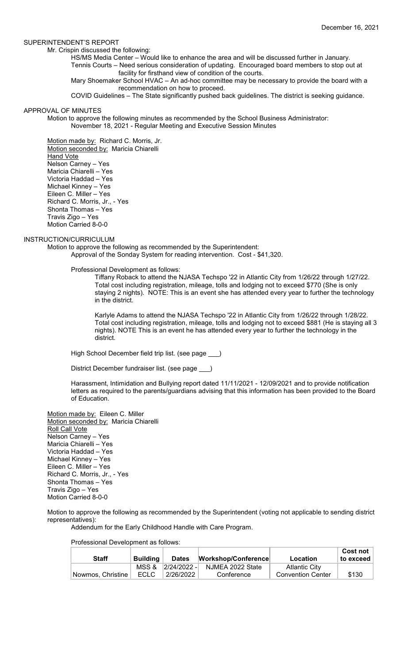#### SUPERINTENDENT'S REPORT

Mr. Crispin discussed the following:

HS/MS Media Center – Would like to enhance the area and will be discussed further in January.

Tennis Courts – Need serious consideration of updating. Encouraged board members to stop out at facility for firsthand view of condition of the courts.

Mary Shoemaker School HVAC – An ad-hoc committee may be necessary to provide the board with a recommendation on how to proceed.

COVID Guidelines – The State significantly pushed back guidelines. The district is seeking guidance.

#### APPROVAL OF MINUTES

Motion to approve the following minutes as recommended by the School Business Administrator: November 18, 2021 - Regular Meeting and Executive Session Minutes

Motion made by: Richard C. Morris, Jr. Motion seconded by: Maricia Chiarelli **Hand Vote** Nelson Carney – Yes Maricia Chiarelli – Yes Victoria Haddad – Yes Michael Kinney – Yes Eileen C. Miller – Yes Richard C. Morris, Jr., - Yes Shonta Thomas – Yes Travis Zigo – Yes Motion Carried 8-0-0

# INSTRUCTION/CURRICULUM

Motion to approve the following as recommended by the Superintendent: Approval of the Sonday System for reading intervention. Cost - \$41,320.

Professional Development as follows:

Tiffany Roback to attend the NJASA Techspo '22 in Atlantic City from 1/26/22 through 1/27/22. Total cost including registration, mileage, tolls and lodging not to exceed \$770 (She is only staying 2 nights). NOTE: This is an event she has attended every year to further the technology in the district.

Karlyle Adams to attend the NJASA Techspo '22 in Atlantic City from 1/26/22 through 1/28/22. Total cost including registration, mileage, tolls and lodging not to exceed \$881 (He is staying all 3 nights). NOTE This is an event he has attended every year to further the technology in the district.

High School December field trip list. (see page \_\_\_)

District December fundraiser list. (see page \_\_\_)

Harassment, Intimidation and Bullying report dated 11/11/2021 - 12/09/2021 and to provide notification letters as required to the parents/guardians advising that this information has been provided to the Board of Education.

Motion made by: Eileen C. Miller Motion seconded by: Maricia Chiarelli Roll Call Vote Nelson Carney – Yes Maricia Chiarelli – Yes Victoria Haddad – Yes Michael Kinney – Yes Eileen C. Miller – Yes Richard C. Morris, Jr., - Yes Shonta Thomas – Yes Travis Zigo – Yes Motion Carried 8-0-0

Motion to approve the following as recommended by the Superintendent (voting not applicable to sending district representatives):

Addendum for the Early Childhood Handle with Care Program.

Professional Development as follows:

| <b>Staff</b>      | <b>Building</b> | <b>Dates</b>      | Workshop/Conference | Location                 | <b>Cost not</b><br>to exceed |
|-------------------|-----------------|-------------------|---------------------|--------------------------|------------------------------|
|                   |                 | MSS & 2/24/2022 - | NJMEA 2022 State    | <b>Atlantic City</b>     |                              |
| Nowmos, Christine | <b>ECLC</b>     | 2/26/2022         | Conference          | <b>Convention Center</b> | \$130                        |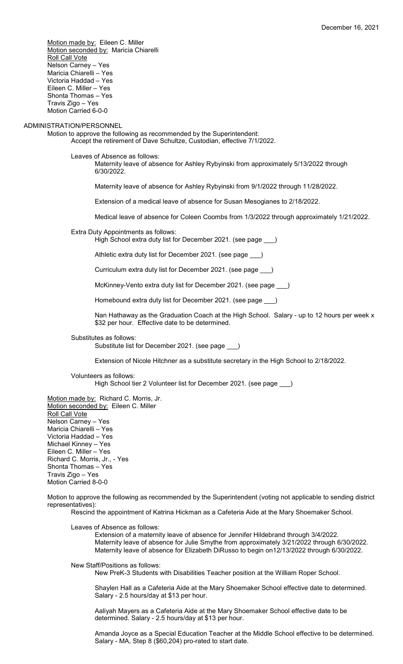Motion made by: Eileen C. Miller Motion seconded by: Maricia Chiarelli Roll Call Vote Nelson Carney – Yes Maricia Chiarelli – Yes Victoria Haddad – Yes Eileen C. Miller – Yes Shonta Thomas – Yes Travis Zigo – Yes Motion Carried 6-0-0

# ADMINISTRATION/PERSONNEL

Motion to approve the following as recommended by the Superintendent: Accept the retirement of Dave Schultze, Custodian, effective 7/1/2022.

Leaves of Absence as follows:

Maternity leave of absence for Ashley Rybyinski from approximately 5/13/2022 through 6/30/2022.

Maternity leave of absence for Ashley Rybyinski from 9/1/2022 through 11/28/2022.

Extension of a medical leave of absence for Susan Mesogianes to 2/18/2022.

Medical leave of absence for Coleen Coombs from 1/3/2022 through approximately 1/21/2022.

# Extra Duty Appointments as follows:

High School extra duty list for December 2021. (see page \_\_\_)

Athletic extra duty list for December 2021. (see page )

Curriculum extra duty list for December 2021. (see page \_\_\_)

McKinney-Vento extra duty list for December 2021. (see page \_\_\_)

Homebound extra duty list for December 2021. (see page \_\_\_)

Nan Hathaway as the Graduation Coach at the High School. Salary - up to 12 hours per week x \$32 per hour. Effective date to be determined.

Substitutes as follows:

Substitute list for December 2021. (see page

Extension of Nicole Hitchner as a substitute secretary in the High School to 2/18/2022.

Volunteers as follows: High School tier 2 Volunteer list for December 2021. (see page \_\_\_)

Motion made by: Richard C. Morris, Jr. Motion seconded by: Eileen C. Miller Roll Call Vote Nelson Carney – Yes Maricia Chiarelli – Yes Victoria Haddad – Yes Michael Kinney – Yes Eileen C. Miller – Yes Richard C. Morris, Jr., - Yes Shonta Thomas – Yes Travis Zigo – Yes Motion Carried 8-0-0

Motion to approve the following as recommended by the Superintendent (voting not applicable to sending district representatives):

Rescind the appointment of Katrina Hickman as a Cafeteria Aide at the Mary Shoemaker School.

Leaves of Absence as follows:

Extension of a maternity leave of absence for Jennifer Hildebrand through 3/4/2022. Maternity leave of absence for Julie Smythe from approximately 3/21/2022 through 6/30/2022. Maternity leave of absence for Elizabeth DiRusso to begin on12/13/2022 through 6/30/2022.

New Staff/Positions as follows:

New PreK-3 Students with Disabilities Teacher position at the William Roper School.

Shaylen Hall as a Cafeteria Aide at the Mary Shoemaker School effective date to determined. Salary - 2.5 hours/day at \$13 per hour.

Aaliyah Mayers as a Cafeteria Aide at the Mary Shoemaker School effective date to be determined. Salary - 2.5 hours/day at \$13 per hour.

Amanda Joyce as a Special Education Teacher at the Middle School effective to be determined. Salary - MA, Step 8 (\$60,204) pro-rated to start date.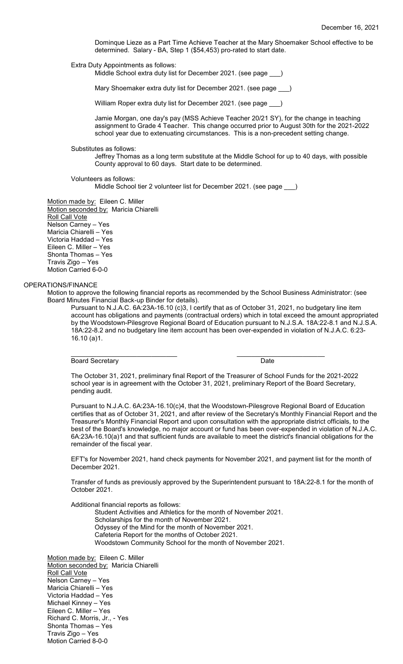Dominque Lieze as a Part Time Achieve Teacher at the Mary Shoemaker School effective to be determined. Salary - BA, Step 1 (\$54,453) pro-rated to start date.

Extra Duty Appointments as follows:

Middle School extra duty list for December 2021. (see page )

Mary Shoemaker extra duty list for December 2021. (see page \_\_\_)

William Roper extra duty list for December 2021. (see page \_

Jamie Morgan, one day's pay (MSS Achieve Teacher 20/21 SY), for the change in teaching assignment to Grade 4 Teacher. This change occurred prior to August 30th for the 2021-2022 school year due to extenuating circumstances. This is a non-precedent setting change.

Substitutes as follows:

Jeffrey Thomas as a long term substitute at the Middle School for up to 40 days, with possible County approval to 60 days. Start date to be determined.

Volunteers as follows:

Middle School tier 2 volunteer list for December 2021. (see page \_\_\_)

Motion made by: Eileen C. Miller Motion seconded by: Maricia Chiarelli Roll Call Vote Nelson Carney – Yes Maricia Chiarelli – Yes Victoria Haddad – Yes Eileen C. Miller – Yes Shonta Thomas – Yes Travis Zigo – Yes Motion Carried 6-0-0

#### OPERATIONS/FINANCE

Motion to approve the following financial reports as recommended by the School Business Administrator: (see Board Minutes Financial Back-up Binder for details).

Pursuant to N.J.A.C. 6A:23A-16.10 (c)3, I certify that as of October 31, 2021, no budgetary line item account has obligations and payments (contractual orders) which in total exceed the amount appropriated by the Woodstown-Pilesgrove Regional Board of Education pursuant to N.J.S.A. 18A:22-8.1 and N.J.S.A. 18A:22-8.2 and no budgetary line item account has been over-expended in violation of N.J.A.C. 6:23- 16.10 (a)1.

Board Secretary Date

\_\_\_\_\_\_\_\_\_\_\_\_\_\_\_\_\_\_\_\_\_\_\_\_\_\_\_\_\_ \_\_\_\_\_\_\_\_\_\_\_\_\_\_\_\_\_\_\_\_\_\_\_\_

The October 31, 2021, preliminary final Report of the Treasurer of School Funds for the 2021-2022 school year is in agreement with the October 31, 2021, preliminary Report of the Board Secretary, pending audit.

Pursuant to N.J.A.C. 6A:23A-16.10(c)4, that the Woodstown-Pilesgrove Regional Board of Education certifies that as of October 31, 2021, and after review of the Secretary's Monthly Financial Report and the Treasurer's Monthly Financial Report and upon consultation with the appropriate district officials, to the best of the Board's knowledge, no major account or fund has been over-expended in violation of N.J.A.C. 6A:23A-16.10(a)1 and that sufficient funds are available to meet the district's financial obligations for the remainder of the fiscal year.

EFT's for November 2021, hand check payments for November 2021, and payment list for the month of December 2021.

Transfer of funds as previously approved by the Superintendent pursuant to 18A:22-8.1 for the month of October 2021.

Additional financial reports as follows:

Student Activities and Athletics for the month of November 2021. Scholarships for the month of November 2021. Odyssey of the Mind for the month of November 2021. Cafeteria Report for the months of October 2021. Woodstown Community School for the month of November 2021.

Motion made by: Eileen C. Miller Motion seconded by: Maricia Chiarelli **Roll Call Vote** Nelson Carney – Yes Maricia Chiarelli – Yes Victoria Haddad – Yes Michael Kinney – Yes Eileen C. Miller – Yes Richard C. Morris, Jr., - Yes Shonta Thomas – Yes Travis Zigo – Yes Motion Carried 8-0-0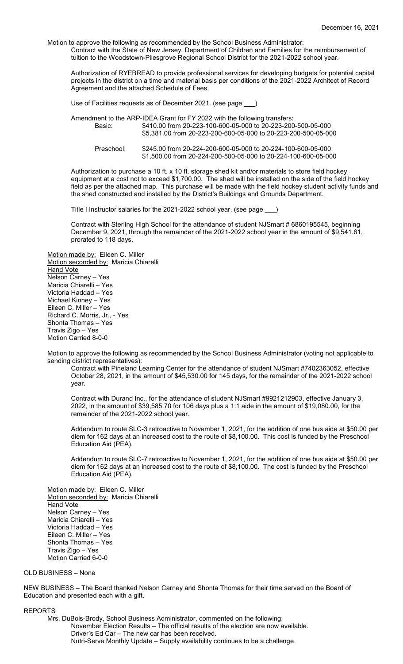Motion to approve the following as recommended by the School Business Administrator: Contract with the State of New Jersey, Department of Children and Families for the reimbursement of tuition to the Woodstown-Pilesgrove Regional School District for the 2021-2022 school year.

Authorization of RYEBREAD to provide professional services for developing budgets for potential capital projects in the district on a time and material basis per conditions of the 2021-2022 Architect of Record Agreement and the attached Schedule of Fees.

Use of Facilities requests as of December 2021. (see page \_\_\_)

Amendment to the ARP-IDEA Grant for FY 2022 with the following transfers: Basic: \$410.00 from 20-223-100-600-05-000 to 20-223-200-500-05-000 \$5,381.00 from 20-223-200-600-05-000 to 20-223-200-500-05-000 Preschool: \$245.00 from 20-224-200-600-05-000 to 20-224-100-600-05-000 \$1,500.00 from 20-224-200-500-05-000 to 20-224-100-600-05-000

Authorization to purchase a 10 ft. x 10 ft. storage shed kit and/or materials to store field hockey equipment at a cost not to exceed \$1,700.00. The shed will be installed on the side of the field hockey field as per the attached map. This purchase will be made with the field hockey student activity funds and the shed constructed and installed by the District's Buildings and Grounds Department.

Title I Instructor salaries for the 2021-2022 school year. (see page \_\_\_)

Contract with Sterling High School for the attendance of student NJSmart # 6860195545, beginning December 9, 2021, through the remainder of the 2021-2022 school year in the amount of \$9,541.61, prorated to 118 days.

Motion made by: Eileen C. Miller Motion seconded by: Maricia Chiarelli **Hand Vote** Nelson Carney – Yes Maricia Chiarelli – Yes Victoria Haddad – Yes Michael Kinney – Yes Eileen C. Miller – Yes Richard C. Morris, Jr., - Yes Shonta Thomas – Yes Travis Zigo – Yes Motion Carried 8-0-0

Motion to approve the following as recommended by the School Business Administrator (voting not applicable to sending district representatives):

Contract with Pineland Learning Center for the attendance of student NJSmart #7402363052, effective October 28, 2021, in the amount of \$45,530.00 for 145 days, for the remainder of the 2021-2022 school year.

Contract with Durand Inc., for the attendance of student NJSmart #9921212903, effective January 3, 2022, in the amount of \$39,585.70 for 106 days plus a 1:1 aide in the amount of \$19,080.00, for the remainder of the 2021-2022 school year.

Addendum to route SLC-3 retroactive to November 1, 2021, for the addition of one bus aide at \$50.00 per diem for 162 days at an increased cost to the route of \$8,100.00. This cost is funded by the Preschool Education Aid (PEA).

Addendum to route SLC-7 retroactive to November 1, 2021, for the addition of one bus aide at \$50.00 per diem for 162 days at an increased cost to the route of \$8,100.00. The cost is funded by the Preschool Education Aid (PEA).

Motion made by: Eileen C. Miller Motion seconded by: Maricia Chiarelli **Hand Vote** Nelson Carney – Yes Maricia Chiarelli – Yes Victoria Haddad – Yes Eileen C. Miller – Yes Shonta Thomas – Yes Travis Zigo – Yes Motion Carried 6-0-0

#### OLD BUSINESS – None

NEW BUSINESS – The Board thanked Nelson Carney and Shonta Thomas for their time served on the Board of Education and presented each with a gift.

#### REPORTS

Mrs. DuBois-Brody, School Business Administrator, commented on the following: November Election Results – The official results of the election are now available. Driver's Ed Car – The new car has been received. Nutri-Serve Monthly Update – Supply availability continues to be a challenge.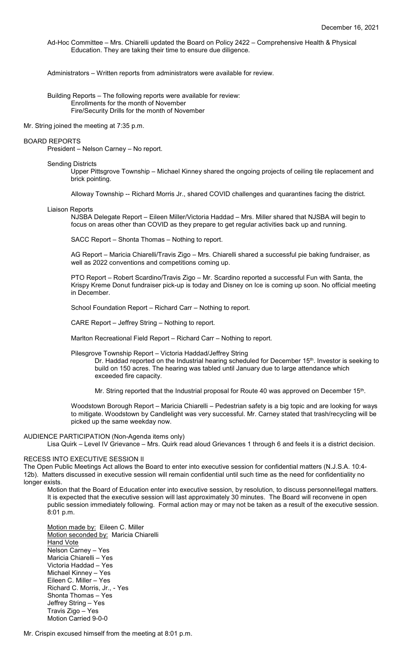Ad-Hoc Committee – Mrs. Chiarelli updated the Board on Policy 2422 – Comprehensive Health & Physical Education. They are taking their time to ensure due diligence.

Administrators – Written reports from administrators were available for review.

Building Reports – The following reports were available for review: Enrollments for the month of November Fire/Security Drills for the month of November

Mr. String joined the meeting at 7:35 p.m.

# BOARD REPORTS

President – Nelson Carney – No report.

#### Sending Districts

Upper Pittsgrove Township – Michael Kinney shared the ongoing projects of ceiling tile replacement and brick pointing.

Alloway Township -- Richard Morris Jr., shared COVID challenges and quarantines facing the district.

#### Liaison Reports

NJSBA Delegate Report – Eileen Miller/Victoria Haddad – Mrs. Miller shared that NJSBA will begin to focus on areas other than COVID as they prepare to get regular activities back up and running.

SACC Report – Shonta Thomas – Nothing to report.

AG Report – Maricia Chiarelli/Travis Zigo – Mrs. Chiarelli shared a successful pie baking fundraiser, as well as 2022 conventions and competitions coming up.

PTO Report – Robert Scardino/Travis Zigo – Mr. Scardino reported a successful Fun with Santa, the Krispy Kreme Donut fundraiser pick-up is today and Disney on Ice is coming up soon. No official meeting in December.

School Foundation Report – Richard Carr – Nothing to report.

CARE Report – Jeffrey String – Nothing to report.

Marlton Recreational Field Report – Richard Carr – Nothing to report.

Pilesgrove Township Report – Victoria Haddad/Jeffrey String

Dr. Haddad reported on the Industrial hearing scheduled for December 15<sup>th</sup>. Investor is seeking to build on 150 acres. The hearing was tabled until January due to large attendance which exceeded fire capacity.

Mr. String reported that the Industrial proposal for Route 40 was approved on December 15<sup>th</sup>.

Woodstown Borough Report – Maricia Chiarelli – Pedestrian safety is a big topic and are looking for ways to mitigate. Woodstown by Candlelight was very successful. Mr. Carney stated that trash/recycling will be picked up the same weekday now.

# AUDIENCE PARTICIPATION (Non-Agenda items only)

Lisa Quirk – Level IV Grievance – Mrs. Quirk read aloud Grievances 1 through 6 and feels it is a district decision.

#### RECESS INTO EXECUTIVE SESSION II

The Open Public Meetings Act allows the Board to enter into executive session for confidential matters (N.J.S.A. 10:4- 12b). Matters discussed in executive session will remain confidential until such time as the need for confidentiality no longer exists.

Motion that the Board of Education enter into executive session, by resolution, to discuss personnel/legal matters. It is expected that the executive session will last approximately 30 minutes. The Board will reconvene in open public session immediately following. Formal action may or may not be taken as a result of the executive session. 8:01 p.m.

Motion made by: Eileen C. Miller Motion seconded by: Maricia Chiarelli Hand Vote Nelson Carney – Yes Maricia Chiarelli – Yes Victoria Haddad – Yes Michael Kinney – Yes Eileen C. Miller – Yes Richard C. Morris, Jr., - Yes Shonta Thomas – Yes Jeffrey String – Yes Travis Zigo – Yes Motion Carried 9-0-0

Mr. Crispin excused himself from the meeting at 8:01 p.m.